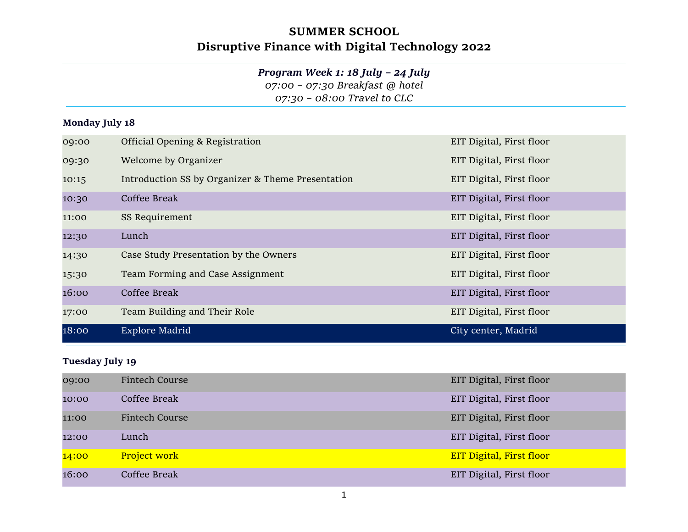# SUMMER SCHOOL Disruptive Finance with Digital Technology 2022

### Program Week 1: 18 July – 24 July

07:00 – 07:30 Breakfast @ hotel

07:30 – 08:00 Travel to CLC

#### Monday July 18

| 09:00 | Official Opening & Registration                   | EIT Digital, First floor |
|-------|---------------------------------------------------|--------------------------|
| 09:30 | Welcome by Organizer                              | EIT Digital, First floor |
| 10:15 | Introduction SS by Organizer & Theme Presentation | EIT Digital, First floor |
| 10:30 | Coffee Break                                      | EIT Digital, First floor |
| 11:00 | SS Requirement                                    | EIT Digital, First floor |
| 12:30 | Lunch                                             | EIT Digital, First floor |
| 14:30 | Case Study Presentation by the Owners             | EIT Digital, First floor |
| 15:30 | Team Forming and Case Assignment                  | EIT Digital, First floor |
| 16:00 | Coffee Break                                      | EIT Digital, First floor |
| 17:00 | Team Building and Their Role                      | EIT Digital, First floor |
| 18:00 | Explore Madrid                                    | City center, Madrid      |

#### Tuesday July 19

| 09:00 | Fintech Course        | EIT Digital, First floor        |
|-------|-----------------------|---------------------------------|
| 10:00 | Coffee Break          | EIT Digital, First floor        |
| 11:00 | <b>Fintech Course</b> | EIT Digital, First floor        |
| 12:00 | Lunch                 | EIT Digital, First floor        |
| 14:00 | <b>Project work</b>   | <b>EIT Digital, First floor</b> |
| 16:00 | Coffee Break          | EIT Digital, First floor        |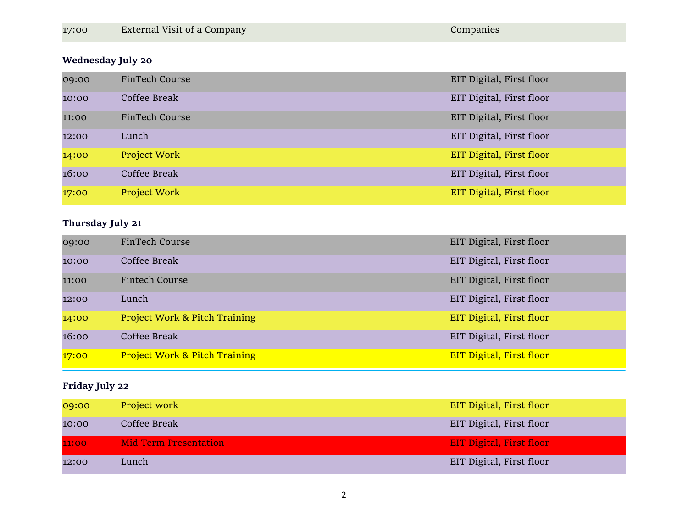|  | 17:00 | <b>External Visit of a Company</b> | Companies |
|--|-------|------------------------------------|-----------|
|--|-------|------------------------------------|-----------|

### Wednesday July 20

| 09:00 | FinTech Course | EIT Digital, First floor |
|-------|----------------|--------------------------|
| 10:00 | Coffee Break   | EIT Digital, First floor |
| 11:00 | FinTech Course | EIT Digital, First floor |
| 12:00 | Lunch          | EIT Digital, First floor |
| 14:00 | Project Work   | EIT Digital, First floor |
| 16:00 | Coffee Break   | EIT Digital, First floor |
| 17:00 | Project Work   | EIT Digital, First floor |

### Thursday July 21

| 09:00 | FinTech Course                           | EIT Digital, First floor        |
|-------|------------------------------------------|---------------------------------|
| 10:00 | Coffee Break                             | EIT Digital, First floor        |
| 11:00 | <b>Fintech Course</b>                    | EIT Digital, First floor        |
| 12:00 | Lunch                                    | EIT Digital, First floor        |
| 14:00 | <b>Project Work &amp; Pitch Training</b> | EIT Digital, First floor        |
| 16:00 | Coffee Break                             | EIT Digital, First floor        |
| 17:00 | <b>Project Work &amp; Pitch Training</b> | <b>EIT Digital, First floor</b> |

### Friday July 22

| 09:00 | Project work                 | EIT Digital, First floor        |
|-------|------------------------------|---------------------------------|
| 10:00 | Coffee Break                 | EIT Digital, First floor        |
| 11:00 | <b>Mid Term Presentation</b> | <b>EIT Digital, First floor</b> |
| 12:00 | Lunch                        | EIT Digital, First floor        |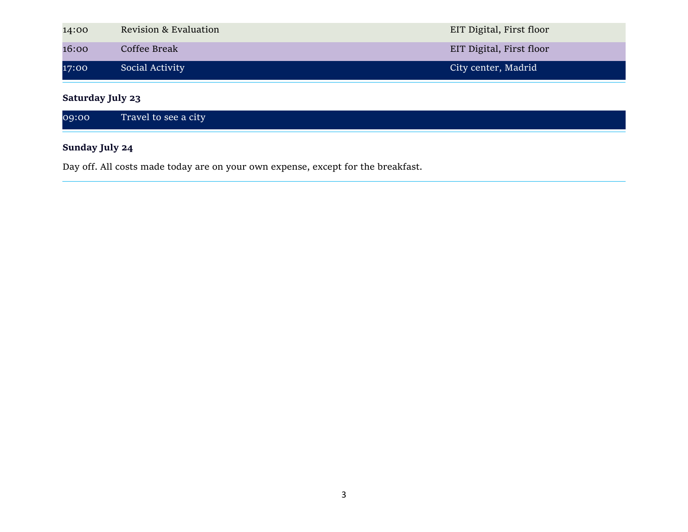| 14:00 | <b>Revision &amp; Evaluation</b> | EIT Digital, First floor |
|-------|----------------------------------|--------------------------|
| 16:00 | Coffee Break                     | EIT Digital, First floor |
| 17:00 | Social Activity                  | City center, Madrid      |

Saturday July 23

### Sunday July 24

Day off. All costs made today are on your own expense, except for the breakfast.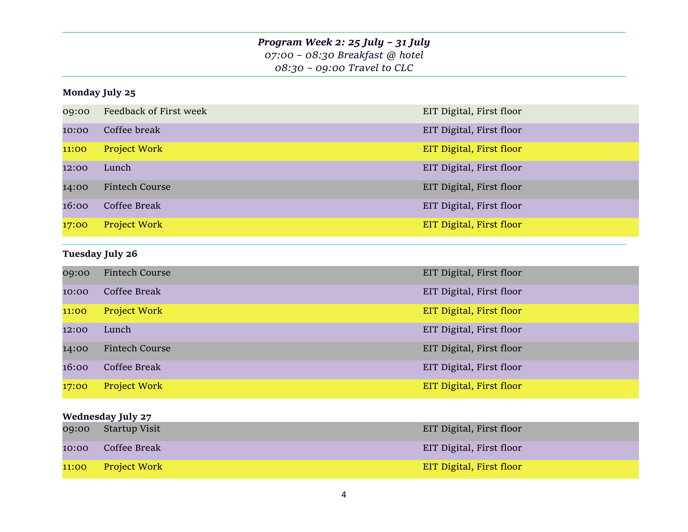### Program Week 2: 25 July – 31 July 07:00 – 08:30 Breakfast @ hotel 08:30 – 09:00 Travel to CLC

#### Monday July 25

| 09:00 | Feedback of First week | EIT Digital, First floor |
|-------|------------------------|--------------------------|
| 10:00 | Coffee break           | EIT Digital, First floor |
| 11:00 | <b>Project Work</b>    | EIT Digital, First floor |
| 12:00 | Lunch                  | EIT Digital, First floor |
| 14:00 | Fintech Course         | EIT Digital, First floor |
| 16:00 | Coffee Break           | EIT Digital, First floor |
| 17:00 | Project Work           | EIT Digital, First floor |

### Tuesday July 26

| 09:00 | Fintech Course        | EIT Digital, First floor |
|-------|-----------------------|--------------------------|
| 10:00 | Coffee Break          | EIT Digital, First floor |
| 11:00 | <b>Project Work</b>   | EIT Digital, First floor |
| 12:00 | Lunch                 | EIT Digital, First floor |
| 14:00 | <b>Fintech Course</b> | EIT Digital, First floor |
| 16:00 | Coffee Break          | EIT Digital, First floor |
| 17:00 | <b>Project Work</b>   | EIT Digital, First floor |

### Wednesday July 27

| 09:00 | Startup Visit | EIT Digital, First floor |
|-------|---------------|--------------------------|
| 10:00 | Coffee Break  | EIT Digital, First floor |
| 11:00 | Project Work  | EIT Digital, First floor |